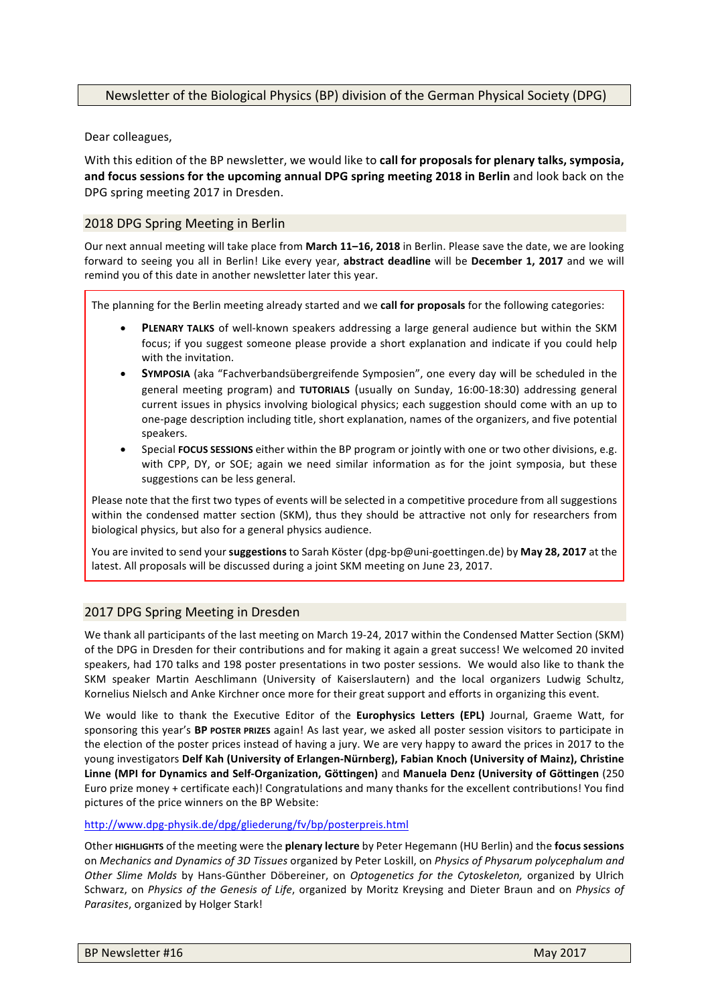Dear colleagues,

With this edition of the BP newsletter, we would like to call for proposals for plenary talks, symposia, and focus sessions for the upcoming annual DPG spring meeting 2018 in Berlin and look back on the DPG spring meeting 2017 in Dresden.

# 2018 DPG Spring Meeting in Berlin

Our next annual meeting will take place from March 11-16, 2018 in Berlin. Please save the date, we are looking forward to seeing you all in Berlin! Like every year, **abstract deadline** will be **December 1, 2017** and we will remind you of this date in another newsletter later this year.

The planning for the Berlin meeting already started and we **call for proposals** for the following categories:

- **PLENARY TALKS** of well-known speakers addressing a large general audience but within the SKM focus; if you suggest someone please provide a short explanation and indicate if you could help with the invitation.
- **SYMPOSIA** (aka "Fachverbandsübergreifende Symposien", one every day will be scheduled in the general meeting program) and TUTORIALS (usually on Sunday, 16:00-18:30) addressing general current issues in physics involving biological physics; each suggestion should come with an up to one-page description including title, short explanation, names of the organizers, and five potential speakers.
- Special **FOCUS SESSIONS** either within the BP program or jointly with one or two other divisions, e.g. with CPP, DY, or SOE; again we need similar information as for the joint symposia, but these suggestions can be less general.

Please note that the first two types of events will be selected in a competitive procedure from all suggestions within the condensed matter section (SKM), thus they should be attractive not only for researchers from biological physics, but also for a general physics audience.

You are invited to send your **suggestions** to Sarah Köster (dpg-bp@uni-goettingen.de) by May 28, 2017 at the latest. All proposals will be discussed during a joint SKM meeting on June 23, 2017.

## 2017 DPG Spring Meeting in Dresden

We thank all participants of the last meeting on March 19-24, 2017 within the Condensed Matter Section (SKM) of the DPG in Dresden for their contributions and for making it again a great success! We welcomed 20 invited speakers, had 170 talks and 198 poster presentations in two poster sessions. We would also like to thank the SKM speaker Martin Aeschlimann (University of Kaiserslautern) and the local organizers Ludwig Schultz, Kornelius Nielsch and Anke Kirchner once more for their great support and efforts in organizing this event.

We would like to thank the Executive Editor of the Europhysics Letters (EPL) Journal, Graeme Watt, for sponsoring this year's **BP** POSTER PRIZES again! As last year, we asked all poster session visitors to participate in the election of the poster prices instead of having a jury. We are very happy to award the prices in 2017 to the young investigators Delf Kah (University of Erlangen-Nürnberg), Fabian Knoch (University of Mainz), Christine **Linne (MPI for Dynamics and Self-Organization, Göttingen)** and **Manuela Denz (University of Göttingen** (250 Euro prize money + certificate each)! Congratulations and many thanks for the excellent contributions! You find pictures of the price winners on the BP Website:

### http://www.dpg-physik.de/dpg/gliederung/fv/bp/posterpreis.html

Other **HIGHLIGHTS** of the meeting were the **plenary lecture** by Peter Hegemann (HU Berlin) and the **focus sessions** on *Mechanics and Dynamics of 3D Tissues* organized by Peter Loskill, on *Physics of Physarum polycephalum and Other Slime Molds* by Hans-Günther Döbereiner, on *Optogenetics for the Cytoskeleton,* organized by Ulrich Schwarz, on *Physics of the Genesis of Life*, organized by Moritz Kreysing and Dieter Braun and on *Physics of Parasites*, organized by Holger Stark!